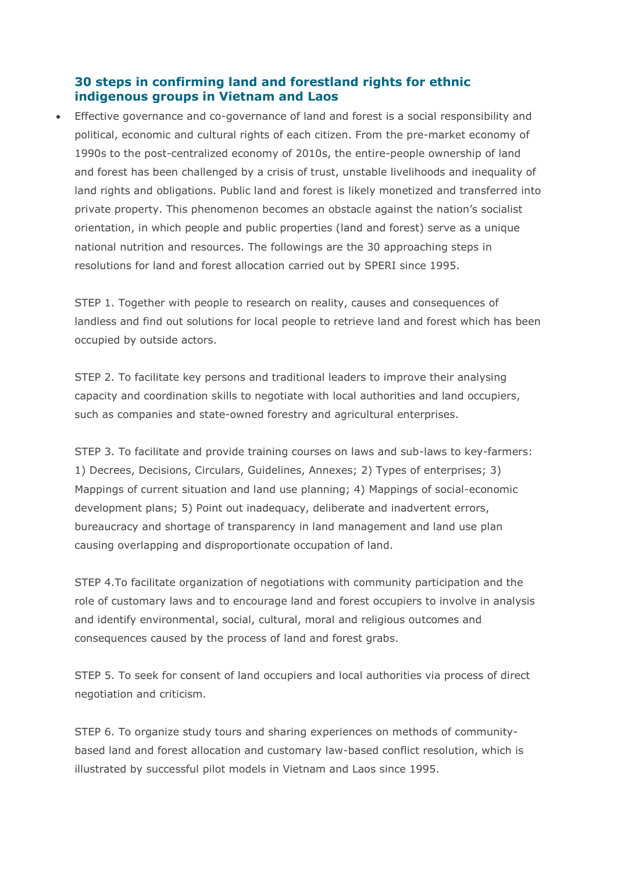## **30 steps in confirming land and forestland rights for ethnic indigenous groups in Vietnam and Laos**

• Effective governance and co-governance of land and forest is a social responsibility and political, economic and cultural rights of each citizen. From the pre-market economy of 1990s to the post-centralized economy of 2010s, the entire-people ownership of land and forest has been challenged by a crisis of trust, unstable livelihoods and inequality of land rights and obligations. Public land and forest is likely monetized and transferred into private property. This phenomenon becomes an obstacle against the nation's socialist orientation, in which people and public properties (land and forest) serve as a unique national nutrition and resources. The followings are the 30 approaching steps in resolutions for land and forest allocation carried out by SPERI since 1995.

STEP 1. Together with people to research on reality, causes and consequences of landless and find out solutions for local people to retrieve land and forest which has been occupied by outside actors.

STEP 2. To facilitate key persons and traditional leaders to improve their analysing capacity and coordination skills to negotiate with local authorities and land occupiers, such as companies and state-owned forestry and agricultural enterprises.

STEP 3. To facilitate and provide training courses on laws and sub-laws to key-farmers: 1) Decrees, Decisions, Circulars, Guidelines, Annexes; 2) Types of enterprises; 3) Mappings of current situation and land use planning; 4) Mappings of social-economic development plans; 5) Point out inadequacy, deliberate and inadvertent errors, bureaucracy and shortage of transparency in land management and land use plan causing overlapping and disproportionate occupation of land.

STEP 4.To facilitate organization of negotiations with community participation and the role of customary laws and to encourage land and forest occupiers to involve in analysis and identify environmental, social, cultural, moral and religious outcomes and consequences caused by the process of land and forest grabs.

STEP 5. To seek for consent of land occupiers and local authorities via process of direct negotiation and criticism.

STEP 6. To organize study tours and sharing experiences on methods of communitybased land and forest allocation and customary law-based conflict resolution, which is illustrated by successful pilot models in Vietnam and Laos since 1995.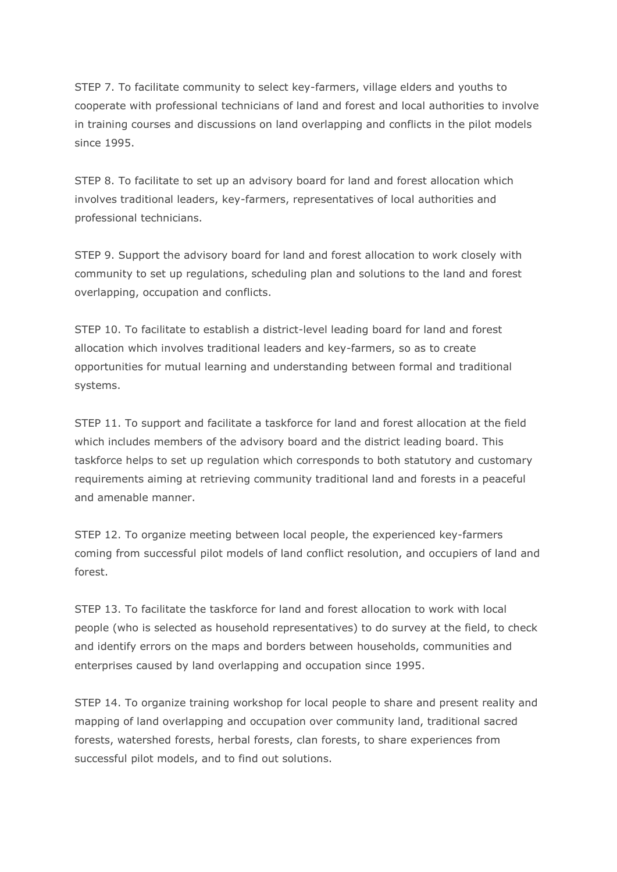STEP 7. To facilitate community to select key-farmers, village elders and youths to cooperate with professional technicians of land and forest and local authorities to involve in training courses and discussions on land overlapping and conflicts in the pilot models since 1995.

STEP 8. To facilitate to set up an advisory board for land and forest allocation which involves traditional leaders, key-farmers, representatives of local authorities and professional technicians.

STEP 9. Support the advisory board for land and forest allocation to work closely with community to set up regulations, scheduling plan and solutions to the land and forest overlapping, occupation and conflicts.

STEP 10. To facilitate to establish a district-level leading board for land and forest allocation which involves traditional leaders and key-farmers, so as to create opportunities for mutual learning and understanding between formal and traditional systems.

STEP 11. To support and facilitate a taskforce for land and forest allocation at the field which includes members of the advisory board and the district leading board. This taskforce helps to set up regulation which corresponds to both statutory and customary requirements aiming at retrieving community traditional land and forests in a peaceful and amenable manner.

STEP 12. To organize meeting between local people, the experienced key-farmers coming from successful pilot models of land conflict resolution, and occupiers of land and forest.

STEP 13. To facilitate the taskforce for land and forest allocation to work with local people (who is selected as household representatives) to do survey at the field, to check and identify errors on the maps and borders between households, communities and enterprises caused by land overlapping and occupation since 1995.

STEP 14. To organize training workshop for local people to share and present reality and mapping of land overlapping and occupation over community land, traditional sacred forests, watershed forests, herbal forests, clan forests, to share experiences from successful pilot models, and to find out solutions.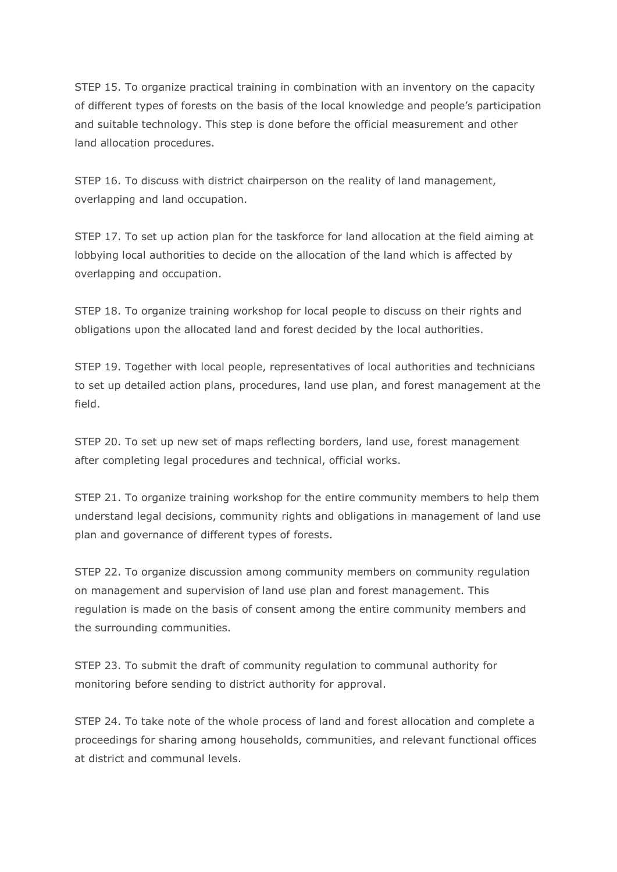STEP 15. To organize practical training in combination with an inventory on the capacity of different types of forests on the basis of the local knowledge and people's participation and suitable technology. This step is done before the official measurement and other land allocation procedures.

STEP 16. To discuss with district chairperson on the reality of land management, overlapping and land occupation.

STEP 17. To set up action plan for the taskforce for land allocation at the field aiming at lobbying local authorities to decide on the allocation of the land which is affected by overlapping and occupation.

STEP 18. To organize training workshop for local people to discuss on their rights and obligations upon the allocated land and forest decided by the local authorities.

STEP 19. Together with local people, representatives of local authorities and technicians to set up detailed action plans, procedures, land use plan, and forest management at the field.

STEP 20. To set up new set of maps reflecting borders, land use, forest management after completing legal procedures and technical, official works.

STEP 21. To organize training workshop for the entire community members to help them understand legal decisions, community rights and obligations in management of land use plan and governance of different types of forests.

STEP 22. To organize discussion among community members on community regulation on management and supervision of land use plan and forest management. This regulation is made on the basis of consent among the entire community members and the surrounding communities.

STEP 23. To submit the draft of community regulation to communal authority for monitoring before sending to district authority for approval.

STEP 24. To take note of the whole process of land and forest allocation and complete a proceedings for sharing among households, communities, and relevant functional offices at district and communal levels.